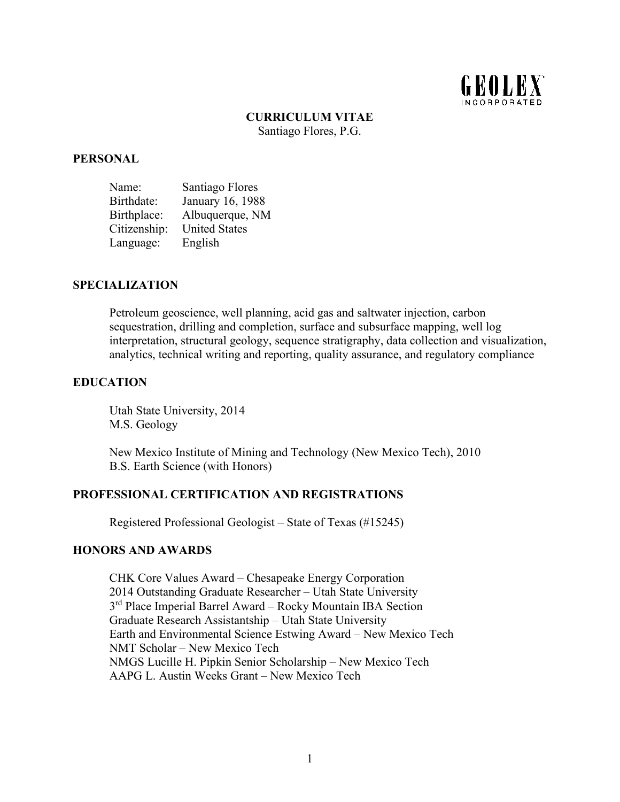

# **CURRICULUM VITAE**

Santiago Flores, P.G.

#### **PERSONAL**

| Name:        | Santiago Flores      |
|--------------|----------------------|
| Birthdate:   | January 16, 1988     |
| Birthplace:  | Albuquerque, NM      |
| Citizenship: | <b>United States</b> |
| Language:    | English              |

### **SPECIALIZATION**

Petroleum geoscience, well planning, acid gas and saltwater injection, carbon sequestration, drilling and completion, surface and subsurface mapping, well log interpretation, structural geology, sequence stratigraphy, data collection and visualization, analytics, technical writing and reporting, quality assurance, and regulatory compliance

### **EDUCATION**

Utah State University, 2014 M.S. Geology

New Mexico Institute of Mining and Technology (New Mexico Tech), 2010 B.S. Earth Science (with Honors)

### **PROFESSIONAL CERTIFICATION AND REGISTRATIONS**

Registered Professional Geologist – State of Texas (#15245)

#### **HONORS AND AWARDS**

CHK Core Values Award – Chesapeake Energy Corporation 2014 Outstanding Graduate Researcher – Utah State University 3<sup>rd</sup> Place Imperial Barrel Award – Rocky Mountain IBA Section Graduate Research Assistantship – Utah State University Earth and Environmental Science Estwing Award – New Mexico Tech NMT Scholar – New Mexico Tech NMGS Lucille H. Pipkin Senior Scholarship – New Mexico Tech AAPG L. Austin Weeks Grant – New Mexico Tech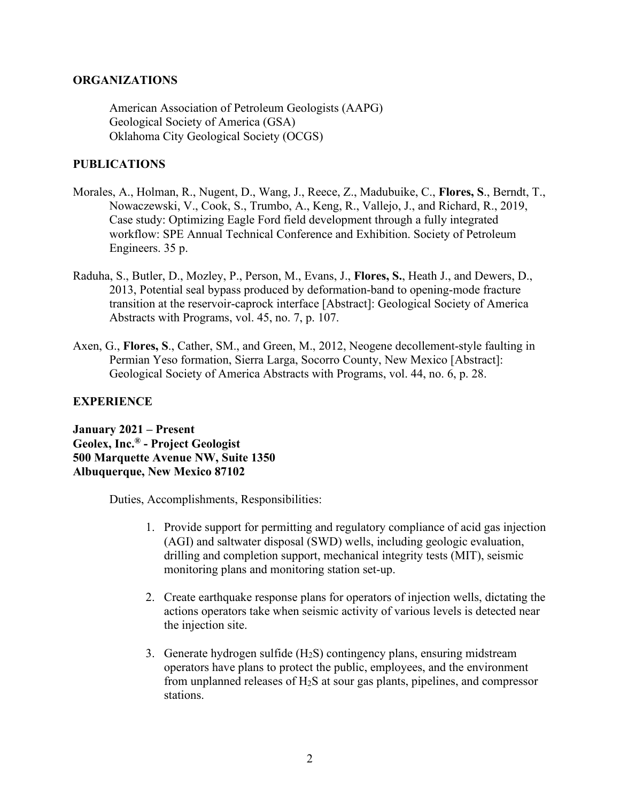# **ORGANIZATIONS**

American Association of Petroleum Geologists (AAPG) Geological Society of America (GSA) Oklahoma City Geological Society (OCGS)

# **PUBLICATIONS**

- Morales, A., Holman, R., Nugent, D., Wang, J., Reece, Z., Madubuike, C., **Flores, S**., Berndt, T., Nowaczewski, V., Cook, S., Trumbo, A., Keng, R., Vallejo, J., and Richard, R., 2019, Case study: Optimizing Eagle Ford field development through a fully integrated workflow: SPE Annual Technical Conference and Exhibition. Society of Petroleum Engineers. 35 p.
- Raduha, S., Butler, D., Mozley, P., Person, M., Evans, J., **Flores, S.**, Heath J., and Dewers, D., 2013, Potential seal bypass produced by deformation-band to opening-mode fracture transition at the reservoir-caprock interface [Abstract]: Geological Society of America Abstracts with Programs, vol. 45, no. 7, p. 107.
- Axen, G., **Flores, S**., Cather, SM., and Green, M., 2012, Neogene decollement-style faulting in Permian Yeso formation, Sierra Larga, Socorro County, New Mexico [Abstract]: Geological Society of America Abstracts with Programs, vol. 44, no. 6, p. 28.

# **EXPERIENCE**

**January 2021 – Present Geolex, Inc.® - Project Geologist 500 Marquette Avenue NW, Suite 1350 Albuquerque, New Mexico 87102**

Duties, Accomplishments, Responsibilities:

- 1. Provide support for permitting and regulatory compliance of acid gas injection (AGI) and saltwater disposal (SWD) wells, including geologic evaluation, drilling and completion support, mechanical integrity tests (MIT), seismic monitoring plans and monitoring station set-up.
- 2. Create earthquake response plans for operators of injection wells, dictating the actions operators take when seismic activity of various levels is detected near the injection site.
- 3. Generate hydrogen sulfide  $(H_2S)$  contingency plans, ensuring midstream operators have plans to protect the public, employees, and the environment from unplanned releases of  $H_2S$  at sour gas plants, pipelines, and compressor stations.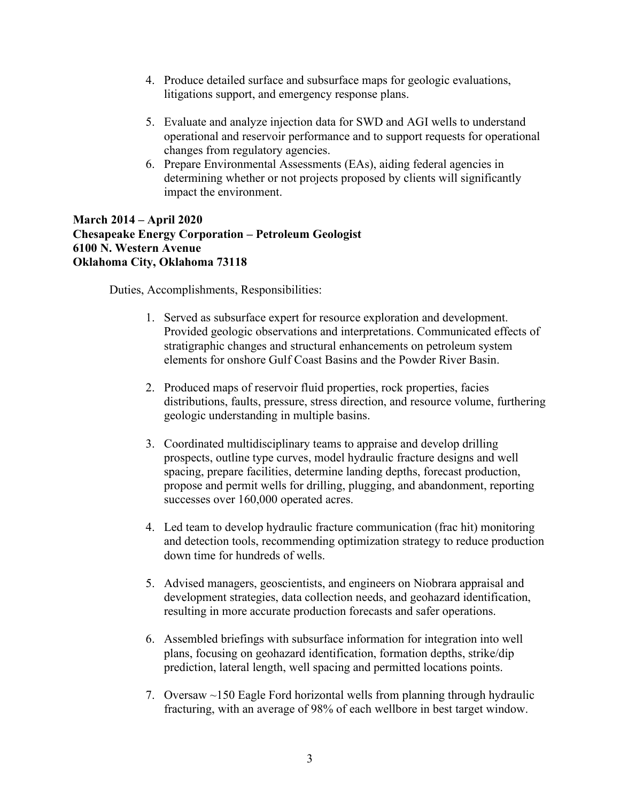- 4. Produce detailed surface and subsurface maps for geologic evaluations, litigations support, and emergency response plans.
- 5. Evaluate and analyze injection data for SWD and AGI wells to understand operational and reservoir performance and to support requests for operational changes from regulatory agencies.
- 6. Prepare Environmental Assessments (EAs), aiding federal agencies in determining whether or not projects proposed by clients will significantly impact the environment.

# **March 2014 – April 2020 Chesapeake Energy Corporation – Petroleum Geologist 6100 N. Western Avenue Oklahoma City, Oklahoma 73118**

Duties, Accomplishments, Responsibilities:

- 1. Served as subsurface expert for resource exploration and development. Provided geologic observations and interpretations. Communicated effects of stratigraphic changes and structural enhancements on petroleum system elements for onshore Gulf Coast Basins and the Powder River Basin.
- 2. Produced maps of reservoir fluid properties, rock properties, facies distributions, faults, pressure, stress direction, and resource volume, furthering geologic understanding in multiple basins.
- 3. Coordinated multidisciplinary teams to appraise and develop drilling prospects, outline type curves, model hydraulic fracture designs and well spacing, prepare facilities, determine landing depths, forecast production, propose and permit wells for drilling, plugging, and abandonment, reporting successes over 160,000 operated acres.
- 4. Led team to develop hydraulic fracture communication (frac hit) monitoring and detection tools, recommending optimization strategy to reduce production down time for hundreds of wells.
- 5. Advised managers, geoscientists, and engineers on Niobrara appraisal and development strategies, data collection needs, and geohazard identification, resulting in more accurate production forecasts and safer operations.
- 6. Assembled briefings with subsurface information for integration into well plans, focusing on geohazard identification, formation depths, strike/dip prediction, lateral length, well spacing and permitted locations points.
- 7. Oversaw ~150 Eagle Ford horizontal wells from planning through hydraulic fracturing, with an average of 98% of each wellbore in best target window.